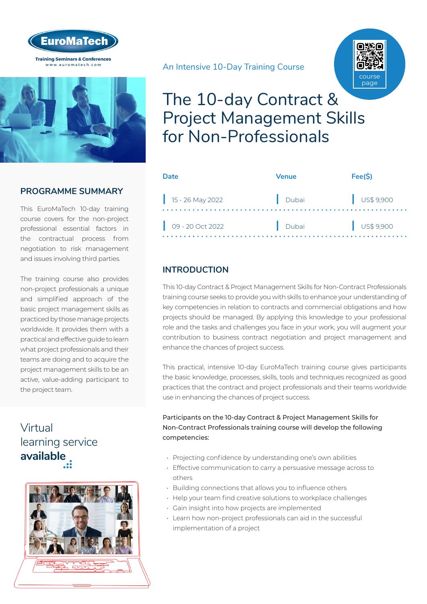



#### **PROGRAMME SUMMARY**

This EuroMaTech 10-day training course covers for the non-project professional essential factors in the contractual process from negotiation to risk management and issues involving third parties.

The training course also provides non-project professionals a unique and simplified approach of the basic project management skills as practiced by those manage projects worldwide. It provides them with a practical and effective guide to learn what project professionals and their teams are doing and to acquire the project management skills to be an active, value-adding participant to the project team.

## Virtual learning service **available**



An Intensive 10-Day Training Course



## The 10-day Contract & Project Management Skills for Non-Professionals

| Date               | Venue | Fee(S)               |
|--------------------|-------|----------------------|
| $15 - 26$ May 2022 | Dubai | $\bigcup$ US\$ 9,900 |
| 09 - 20 Oct 2022   | Dubai | $\bigcup$ US\$ 9,900 |

#### **INTRODUCTION**

This 10-day Contract & Project Management Skills for Non-Contract Professionals training course seeks to provide you with skills to enhance your understanding of key competencies in relation to contracts and commercial obligations and how projects should be managed. By applying this knowledge to your professional role and the tasks and challenges you face in your work, you will augment your contribution to business contract negotiation and project management and enhance the chances of project success.

This practical, intensive 10-day EuroMaTech training course gives participants the basic knowledge, processes, skills, tools and techniques recognized as good practices that the contract and project professionals and their teams worldwide use in enhancing the chances of project success.

#### Participants on the 10-day Contract & Project Management Skills for Non-Contract Professionals training course will develop the following competencies:

- Projecting confidence by understanding one's own abilities
- Effective communication to carry a persuasive message across to others
- Building connections that allows you to influence others
- Help your team find creative solutions to workplace challenges
- Gain insight into how projects are implemented
- Learn how non-project professionals can aid in the successful implementation of a project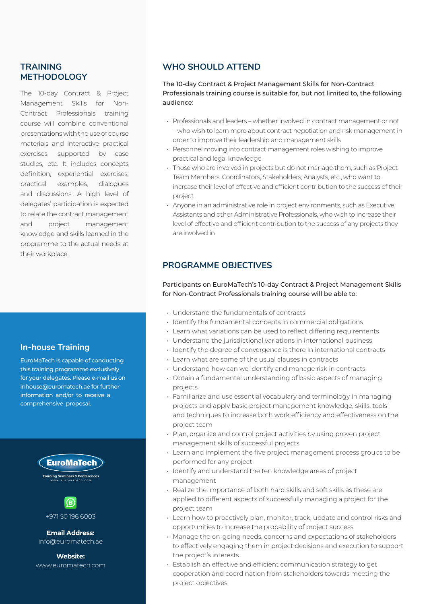#### **TRAINING METHODOLOGY**

The 10-day Contract & Project Management Skills for Non-Contract Professionals training course will combine conventional presentations with the use of course materials and interactive practical exercises, supported by case studies, etc. It includes concepts definition, experiential exercises, practical examples, dialogues and discussions. A high level of delegates' participation is expected to relate the contract management and project management knowledge and skills learned in the programme to the actual needs at their workplace.

#### **In-house Training**

EuroMaTech is capable of conducting this training programme exclusively for your delegates. Please e-mail us on inhouse@euromatech.ae for further information and/or to receive a comprehensive proposal.





+971 50 196 6003

**Email Address:** info@euromatech.ae

**Website:** www.euromatech.com

#### **WHO SHOULD ATTEND**

The 10-day Contract & Project Management Skills for Non-Contract Professionals training course is suitable for, but not limited to, the following audience:

- Professionals and leaders whether involved in contract management or not – who wish to learn more about contract negotiation and risk management in order to improve their leadership and management skills
- Personnel moving into contract management roles wishing to improve practical and legal knowledge
- Those who are involved in projects but do not manage them, such as Project Team Members, Coordinators, Stakeholders, Analysts, etc., who want to increase their level of effective and efficient contribution to the success of their project
- Anyone in an administrative role in project environments, such as Executive Assistants and other Administrative Professionals, who wish to increase their level of effective and efficient contribution to the success of any projects they are involved in

#### **PROGRAMME OBJECTIVES**

Participants on EuroMaTech's 10-day Contract & Project Management Skills for Non-Contract Professionals training course will be able to:

- Understand the fundamentals of contracts
- Identify the fundamental concepts in commercial obligations
- Learn what variations can be used to reflect differing requirements
- Understand the jurisdictional variations in international business
- Identify the degree of convergence is there in international contracts
- Learn what are some of the usual clauses in contracts
- Understand how can we identify and manage risk in contracts
- Obtain a fundamental understanding of basic aspects of managing projects
- Familiarize and use essential vocabulary and terminology in managing projects and apply basic project management knowledge, skills, tools and techniques to increase both work efficiency and effectiveness on the project team
- Plan, organize and control project activities by using proven project management skills of successful projects
- Learn and implement the five project management process groups to be performed for any project.
- Identify and understand the ten knowledge areas of project management
- Realize the importance of both hard skills and soft skills as these are applied to different aspects of successfully managing a project for the project team
- Learn how to proactively plan, monitor, track, update and control risks and opportunities to increase the probability of project success
- Manage the on-going needs, concerns and expectations of stakeholders to effectively engaging them in project decisions and execution to support the project's interests
- Establish an effective and efficient communication strategy to get cooperation and coordination from stakeholders towards meeting the project objectives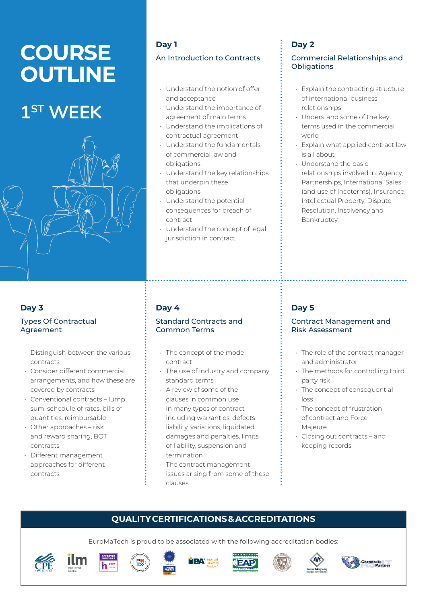# **COURSE OUTLINE**

## **1ST WEEK**



### **Day 3**

#### Types Of Contractual Agreement

- Distinguish between the various contracts
- Consider different commercial arrangements, and how these are covered by contracts
- Conventional contracts lump sum, schedule of rates, bills of quantities, reimbursable
- Other approaches risk and reward sharing, BOT contracts
- Different management approaches for different contracts

## **Day 1** An Introduction to Contracts

- Understand the notion of offer and acceptance
- Understand the importance of agreement of main terms
- Understand the implications of contractual agreement
- Understand the fundamentals of commercial law and obligations
- Understand the key relationships that underpin these obligations
- Understand the potential consequences for breach of contract
- Understand the concept of legal jurisdiction in contract

## **Day 2**

#### Commercial Relationships and **Obligations**

- Explain the contracting structure of international business relationships
- Understand some of the key terms used in the commercial world
- Explain what applied contract law is all about
- Understand the basic relationships involved in: Agency, Partnerships, International Sales (and use of Incoterms), Insurance, Intellectual Property, Dispute Resolution, Insolvency and Bankruptcy

### **Day 4**

#### Standard Contracts and Common Terms

- The concept of the model contract
- The use of industry and company standard terms
- A review of some of the clauses in common use in many types of contract including warranties, defects liability, variations, liquidated damages and penalties, limits of liability, suspension and termination
- The contract management issues arising from some of these clauses

## **Day 5**

#### Contract Management and Risk Assessment

- The role of the contract manager and administrator
- The methods for controlling third party risk
- The concept of consequential loss
- The concept of frustration of contract and Force Majeure
- Closing out contracts and keeping records

## **QUALITY CERTIFICATIONS & ACCREDITATIONS**

EuroMaTech is proud to be associated with the following accreditation bodies:













**MEMBER**



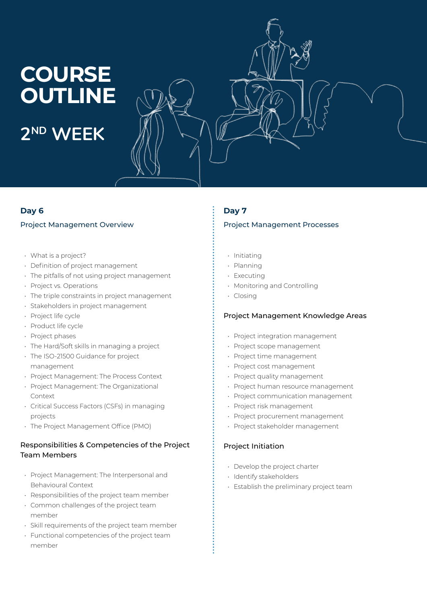# **COURSE OUTLINE 2ND WEEK**

#### **Day 6**

#### Project Management Overview

- What is a project?
- Definition of project management
- The pitfalls of not using project management
- Project vs. Operations
- The triple constraints in project management
- Stakeholders in project management
- Project life cycle
- Product life cycle
- Project phases
- The Hard/Soft skills in managing a project
- The ISO-21500 Guidance for project management
- Project Management: The Process Context
- Project Management: The Organizational Context
- Critical Success Factors (CSFs) in managing projects
- The Project Management Office (PMO)

#### Responsibilities & Competencies of the Project Team Members

- Project Management: The Interpersonal and Behavioural Context
- Responsibilities of the project team member
- Common challenges of the project team member
- Skill requirements of the project team member
- Functional competencies of the project team member

#### **Day 7**

#### Project Management Processes

- Initiating
- Planning
- Executing
- Monitoring and Controlling
- Closing

#### Project Management Knowledge Areas

- Project integration management
- Project scope management
- Project time management
- Project cost management
- Project quality management
- Project human resource management
- Project communication management
- Project risk management
- Project procurement management
- Project stakeholder management

#### Project Initiation

- Develop the project charter
- Identify stakeholders
- Establish the preliminary project team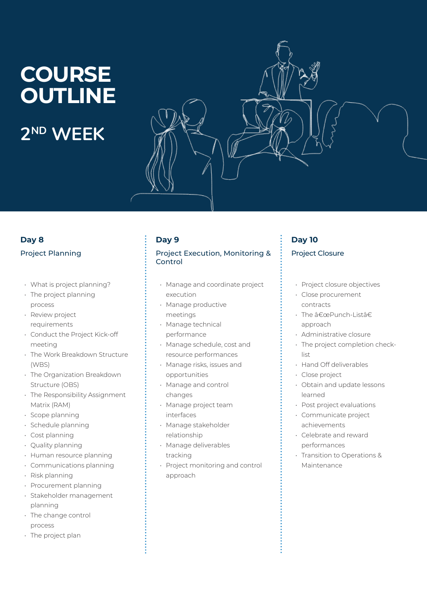# **COURSE OUTLINE 2ND WEEK**

## **Day 8**

#### Project Planning

- What is project planning?
- The project planning process
- Review project requirements
- Conduct the Project Kick-off meeting
- The Work Breakdown Structure (WBS)
- The Organization Breakdown Structure (OBS)
- The Responsibility Assignment Matrix (RAM)
- Scope planning
- Schedule planning
- Cost planning
- Quality planning
- Human resource planning
- Communications planning
- Risk planning
- Procurement planning
- Stakeholder management planning
- The change control process
- The project plan

### **Day 9**

#### Project Execution, Monitoring & Control

- Manage and coordinate project execution
- Manage productive meetings
- Manage technical performance
- Manage schedule, cost and resource performances
- Manage risks, issues and opportunities
- Manage and control changes
- Manage project team interfaces
- Manage stakeholder relationship
- Manage deliverables tracking
- Project monitoring and control approach

## **Day 10** Project Closure

- Project closure objectives
- Close procurement contracts
- The  $\hat{a} \in \text{cePunch-list}$ approach
- Administrative closure
- The project completion checklist
- Hand Off deliverables
- Close project
- Obtain and update lessons learned
- Post project evaluations
- Communicate project achievements
- Celebrate and reward performances
- Transition to Operations & Maintenance